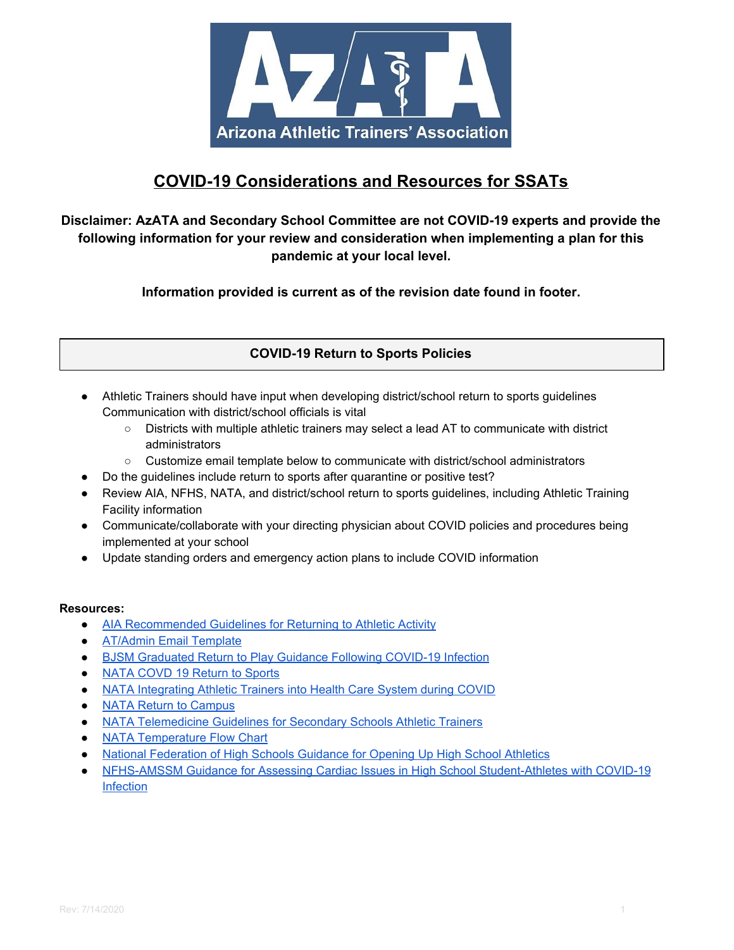

# **COVID-19 Considerations and Resources for SSATs**

## **Disclaimer: AzATA and Secondary School Committee are not COVID-19 experts and provide the following information for your review and consideration when implementing a plan for this pandemic at your local level.**

**Information provided is current as of the revision date found in footer.**

**COVID-19 Return to Sports Policies**

- Athletic Trainers should have input when developing district/school return to sports guidelines Communication with district/school officials is vital
	- Districts with multiple athletic trainers may select a lead AT to communicate with district administrators
	- Customize email template below to communicate with district/school administrators
- Do the guidelines include return to sports after quarantine or positive test?
- Review AIA, NFHS, NATA, and district/school return to sports guidelines, including Athletic Training Facility information
- Communicate/collaborate with your directing physician about COVID policies and procedures being implemented at your school
- Update standing orders and emergency action plans to include COVID information

## **Resources:**

- AIA [Recommended](http://aiaonline.org/files/17051/aia-recommended-guidelines-for-return-to-activity.pdf) Guidelines for Returning to Athletic Activity
- [AT/Admin](https://docs.google.com/document/d/1-D8mW-NXAR-OXah89-dGM9BMeVwQZbIIu-39qMpITpg/copy?usp=sharing) Email Template
- BJSM [Graduated](https://bjsm.bmj.com/content/early/2020/06/22/bjsports-2020-102637) Return to Play Guidance Following COVID-19 Infection
- NATA COVD 19 [Return](https://www.nata.org/sites/default/files/covid_19_return-to-sport_considerations_for_secondary_school_ats_1.pdf) to Sports
- NATA [Integrating](https://www.nata.org/sites/default/files/nata_covid-19_at_flyer.pdf) Athletic Trainers into Health Care System during COVID
- NATA Return to [Campus](https://www.nata.org/sites/default/files/icsm_return_to_campus_packet_covid19.pdf)
- **NATA [Telemedicine](https://www.nata.org/sites/default/files/telemedicine_guidelines_for_the_secondary_school_at_0.pdf) Guidelines for Secondary Schools Athletic Trainers**
- NATA [Temperature](https://www.nata.org/sites/default/files/temperature_flow_chart.pdf) Flow Chart
- National [Federation](https://www.nfhs.org/media/3812287/2020-nfhs-guidance-for-opening-up-high-school-athletics-and-activities-nfhs-smac-may-15_2020-final.pdf) of High Schools Guidance for Opening Up High School Athletics
- NFHS-AMSSM Guidance for Assessing Cardiac Issues in High School [Student-Athletes](https://nfhs.org/articles/nfhs-amssm-guidance-for-assessing-cardiac-issues-in-high-school-student-athletes-with-covid-19-infection/) with COVID-19 **[Infection](https://nfhs.org/articles/nfhs-amssm-guidance-for-assessing-cardiac-issues-in-high-school-student-athletes-with-covid-19-infection/)**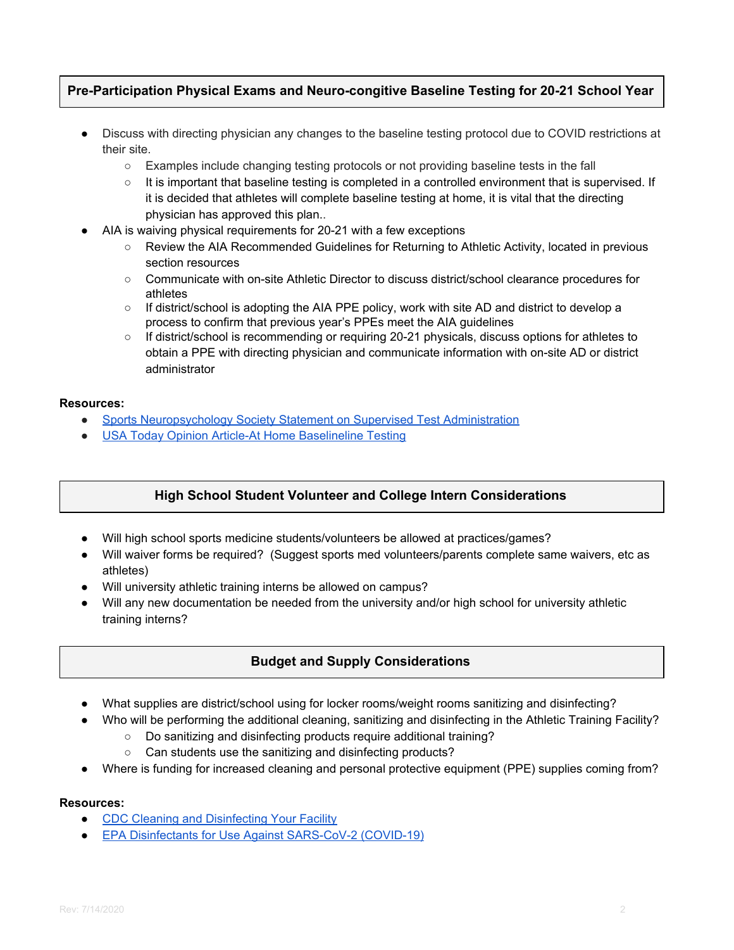## **Pre-Participation Physical Exams and Neuro-congitive Baseline Testing for 20-21 School Year**

- Discuss with directing physician any changes to the baseline testing protocol due to COVID restrictions at their site.
	- Examples include changing testing protocols or not providing baseline tests in the fall
	- It is important that baseline testing is completed in a controlled environment that is supervised. If it is decided that athletes will complete baseline testing at home, it is vital that the directing physician has approved this plan..
- AIA is waiving physical requirements for 20-21 with a few exceptions
	- Review the AIA Recommended Guidelines for Returning to Athletic Activity, located in previous section resources
	- Communicate with on-site Athletic Director to discuss district/school clearance procedures for athletes
	- If district/school is adopting the AIA PPE policy, work with site AD and district to develop a process to confirm that previous year's PPEs meet the AIA guidelines
	- If district/school is recommending or requiring 20-21 physicals, discuss options for athletes to obtain a PPE with directing physician and communicate information with on-site AD or district administrator

#### **Resources:**

- Sports [Neuropsychology](http://www.sportsneuropsychologysociety.com/wp-content/uploads/2019/02/SNS-Statement-on-Supervised-Test-Administration-2019-FINAL.pdf) Society Statement on Supervised Test Administration
- USA Today Opinion Article-At Home [Baselineline](https://www.lohud.com/story/opinion/2020/06/15/sports-covid-19-concussion-testing/3189257001/) Testing

## **High School Student Volunteer and College Intern Considerations**

- Will high school sports medicine students/volunteers be allowed at practices/games?
- Will waiver forms be required? (Suggest sports med volunteers/parents complete same waivers, etc as athletes)
- Will university athletic training interns be allowed on campus?
- Will any new documentation be needed from the university and/or high school for university athletic training interns?

## **Budget and Supply Considerations**

- What supplies are district/school using for locker rooms/weight rooms sanitizing and disinfecting?
- Who will be performing the additional cleaning, sanitizing and disinfecting in the Athletic Training Facility?
	- Do sanitizing and disinfecting products require additional training?
	- Can students use the sanitizing and disinfecting products?
- Where is funding for increased cleaning and personal protective equipment (PPE) supplies coming from?

#### **Resources:**

- CDC Cleaning and [Disinfecting](https://www.cdc.gov/coronavirus/2019-ncov/community/disinfecting-building-facility.html) Your Facility
- EPA Disinfectants for Use Against [SARS-CoV-2](https://www.epa.gov/pesticide-registration/list-n-disinfectants-use-against-sars-cov-2-covid-19) (COVID-19)